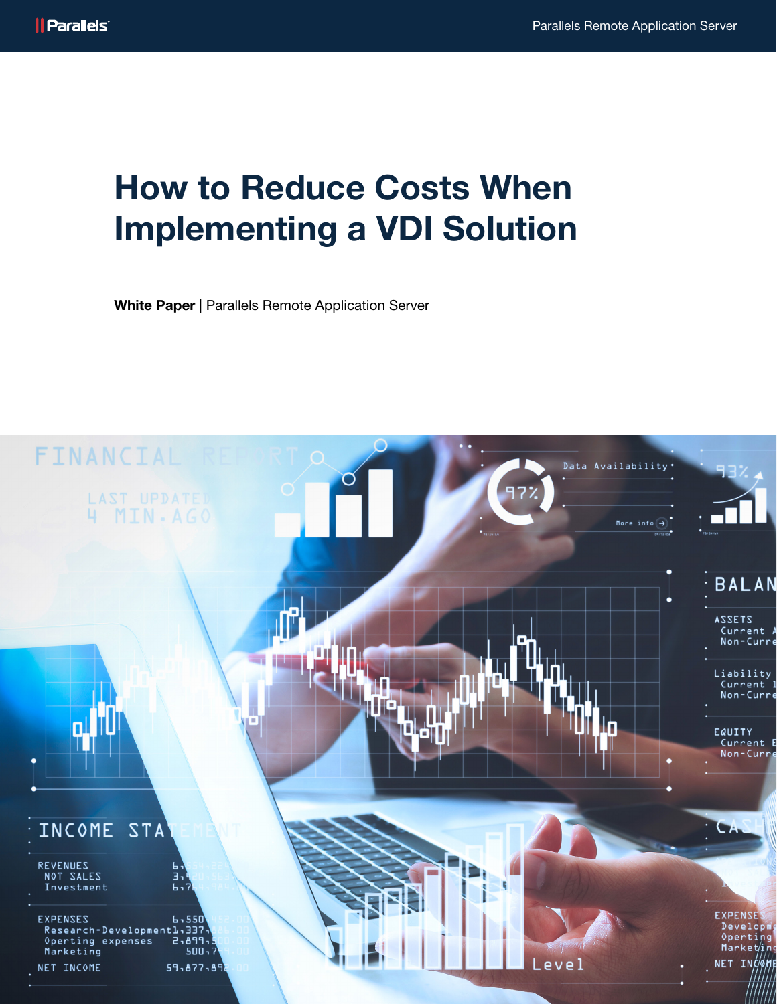# How to Reduce Costs When Implementing a VDI Solution

White Paper | Parallels Remote Application Server

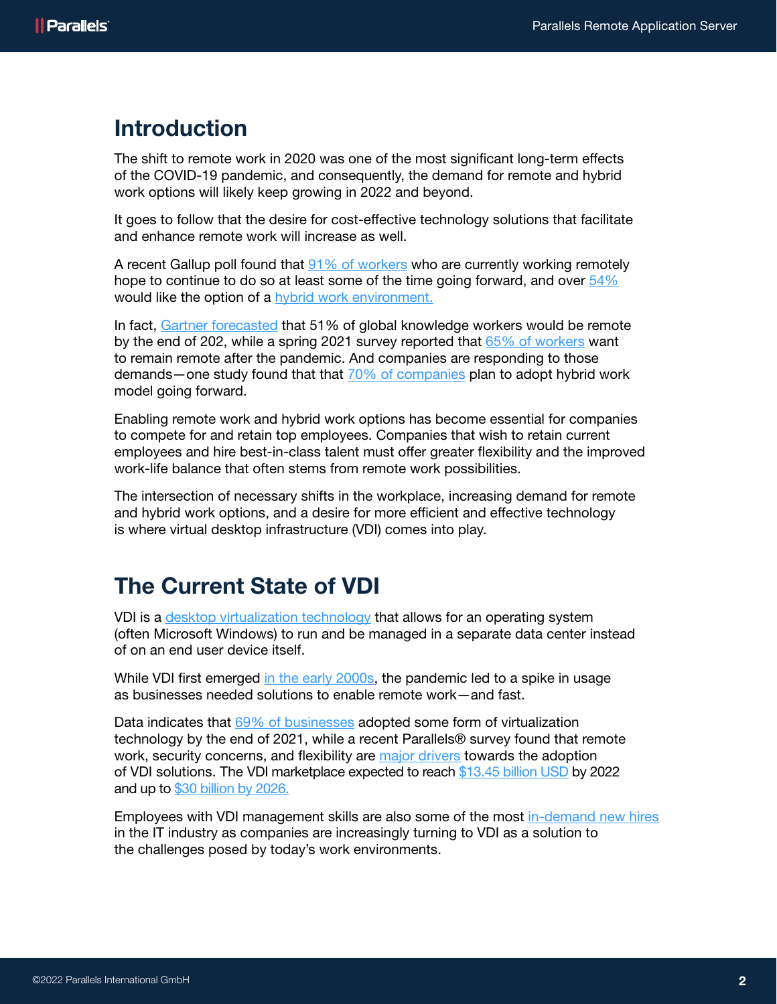### Introduction

The shift to remote work in 2020 was one of the most significant long-term effects of the COVID-19 pandemic, and consequently, the demand for remote and hybrid work options will likely keep growing in 2022 and beyond.

It goes to follow that the desire for cost-effective technology solutions that facilitate and enhance remote work will increase as well.

A recent Gallup poll found that [91% of workers](https://news.gallup.com/poll/355907/remote-work-persisting-trending-permanent.aspx) who are currently working remotely hope to continue to do so at least some of the time going forward, and over  $54\%$ would like the option of a [hybrid work environment.](https://www.parallels.com/blogs/ras/hybrid-working-model/) 

In fact, [Gartner forecasted](https://www.gartner.com/en/newsroom/press-releases/2021-06-22-gartner-forecasts-51-percent-of-global-knowledge-workers-will-be-remote-by-2021) that 51% of global knowledge workers would be remote by the end of 202, while a spring 2021 survey reported that [65% of workers](https://www.flexjobs.com/blog/post/flexjobs-survey-finds-employees-want-remote-work-post-pandemic/) want to remain remote after the pandemic. And companies are responding to those demands—one study found that that [70% of companies](https://www.hrdive.com/news/most-us-employers-with-flexible-work-plans-choose-hybrid-work-mercer-says/603304/) plan to adopt hybrid work model going forward.

Enabling remote work and hybrid work options has become essential for companies to compete for and retain top employees. Companies that wish to retain current employees and hire best-in-class talent must offer greater flexibility and the improved work-life balance that often stems from remote work possibilities.

The intersection of necessary shifts in the workplace, increasing demand for remote and hybrid work options, and a desire for more efficient and effective technology is where virtual desktop infrastructure (VDI) comes into play.

# The Current State of VDI

VDI is a [desktop virtualization technology](https://searchvirtualdesktop.techtarget.com/definition/virtual-desktop-infrastructure-VDI) that allows for an operating system (often Microsoft Windows) to run and be managed in a separate data center instead of on an end user device itself.

While VDI first emerged [in the early 2000s,](https://www.shells.com/l/en-US/blog/Demystifying-DaaS-and-VDI) the pandemic led to a spike in usage as businesses needed solutions to enable remote work—and fast.

Data indicates that [69% of businesses](https://www.spiceworks.com/marketing/reports/state-of-virtualization/) adopted some form of virtualization technology by the end of 2021, while a recent Parallels® survey found that remote work, security concerns, and flexibility are [major drivers](https://www.parallels.com/blogs/ras/vdi-survey-2021/) towards the adoption of VDI solutions. The VDI marketplace expected to reach [\\$13.45 billion USD](https://www.marketsandmarkets.com/Market-Reports/desktop-virtualization-market-137215705.html) by 2022 and up to [\\$30 billion by 2026.](https://www.globenewswire.com/news-release/2021/08/13/2280485/0/en/With-17-CAGR-Growth-Virtual-Desktop-Infrastructure-VDI-Market-Size-Will-Reach-USD-30-Billion-Value-by-2026-Facts-Factors.html)

Employees with VDI management skills are also some of the most [in-demand new hires](https://www.techrepublic.com/article/the-most-in-demand-it-staff-companies-want-to-hire/) in the IT industry as companies are increasingly turning to VDI as a solution to the challenges posed by today's work environments.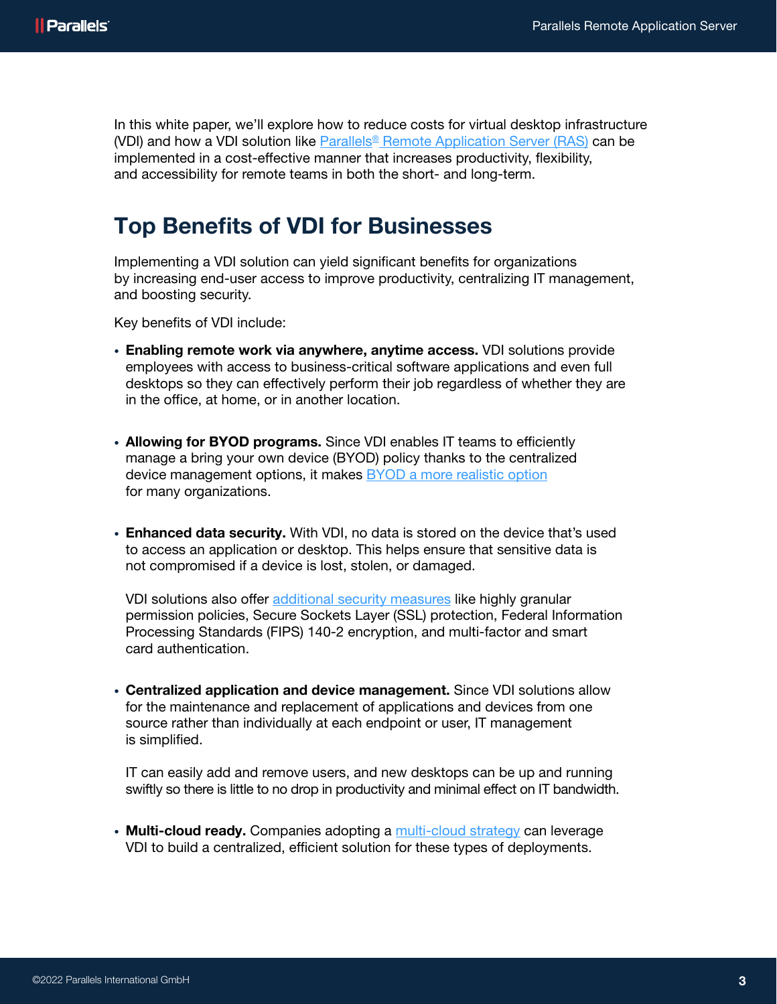In this white paper, we'll explore how to reduce costs for virtual desktop infrastructure (VDI) and how a VDI solution like [Parallels® Remote Application Server \(RAS\)](https://www.parallels.com/products/ras/remote-application-server/) can be implemented in a cost-effective manner that increases productivity, flexibility, and accessibility for remote teams in both the short- and long-term.

### Top Benefits of VDI for Businesses

Implementing a VDI solution can yield significant benefits for organizations by increasing end-user access to improve productivity, centralizing IT management, and boosting security.

Key benefits of VDI include:

- Enabling remote work via anywhere, anytime access. VDI solutions provide employees with access to business-critical software applications and even full desktops so they can effectively perform their job regardless of whether they are in the office, at home, or in another location.
- Allowing for BYOD programs. Since VDI enables IT teams to efficiently manage a bring your own device (BYOD) policy thanks to the centralized device management options, it makes **BYOD** a more realistic option for many organizations.
- Enhanced data security. With VDI, no data is stored on the device that's used to access an application or desktop. This helps ensure that sensitive data is not compromised if a device is lost, stolen, or damaged.

VDI solutions also offer [additional security measures](https://www.parallels.com/products/ras/remote-application-server/#pervasiveSecurity) like highly granular permission policies, Secure Sockets Layer (SSL) protection, Federal Information Processing Standards (FIPS) 140-2 encryption, and multi-factor and smart card authentication.

• Centralized application and device management. Since VDI solutions allow for the maintenance and replacement of applications and devices from one source rather than individually at each endpoint or user, IT management is simplified.

IT can easily add and remove users, and new desktops can be up and running swiftly so there is little to no drop in productivity and minimal effect on IT bandwidth.

• Multi-cloud ready. Companies adopting a [multi-cloud strategy](https://www.parallels.com/blogs/ras/multi-cloud-strategy/) can leverage VDI to build a centralized, efficient solution for these types of deployments.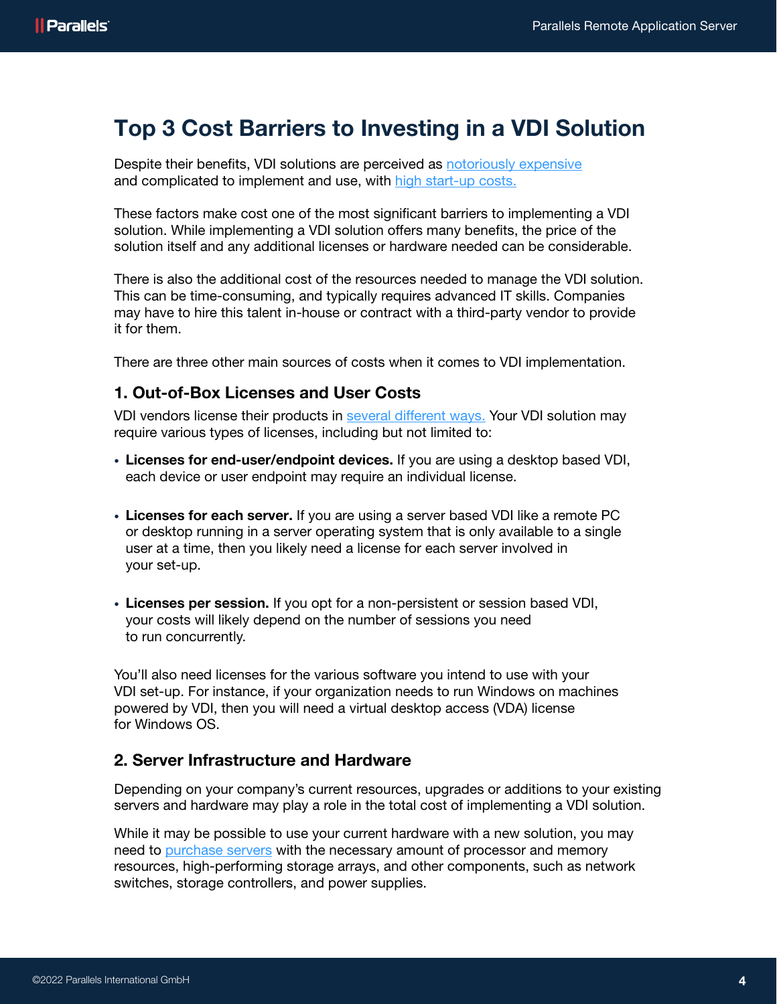## Top 3 Cost Barriers to Investing in a VDI Solution

Despite their benefits, VDI solutions are perceived as [notoriously expensive](https://www.networkcomputing.com/data-centers/calculating-true-cost-vdi) and complicated to implement and use, with [high start-up costs.](https://www.trustradius.com/virtual-desktop-infrastructure-vdi)

These factors make cost one of the most significant barriers to implementing a VDI solution. While implementing a VDI solution offers many benefits, the price of the solution itself and any additional licenses or hardware needed can be considerable.

There is also the additional cost of the resources needed to manage the VDI solution. This can be time-consuming, and typically requires advanced IT skills. Companies may have to hire this talent in-house or contract with a third-party vendor to provide it for them.

There are three other main sources of costs when it comes to VDI implementation.

#### 1. Out-of-Box Licenses and User Costs

VDI vendors license their products in [several different ways.](https://www.software2.com/resource-centre/vdi/vdi-implementation-cost) Your VDI solution may require various types of licenses, including but not limited to:

- Licenses for end-user/endpoint devices. If you are using a desktop based VDI, each device or user endpoint may require an individual license.
- Licenses for each server. If you are using a server based VDI like a remote PC or desktop running in a server operating system that is only available to a single user at a time, then you likely need a license for each server involved in your set-up.
- Licenses per session. If you opt for a non-persistent or session based VDI, your costs will likely depend on the number of sessions you need to run concurrently.

You'll also need licenses for the various software you intend to use with your VDI set-up. For instance, if your organization needs to run Windows on machines powered by VDI, then you will need a virtual desktop access (VDA) license for Windows OS.

### 2. Server Infrastructure and Hardware

Depending on your company's current resources, upgrades or additions to your existing servers and hardware may play a role in the total cost of implementing a VDI solution.

While it may be possible to use your current hardware with a new solution, you may need to [purchase servers](https://searchvirtualdesktop.techtarget.com/feature/How-to-keep-VDI-costs-to-a-minimum?src=8747183#orig) with the necessary amount of processor and memory resources, high-performing storage arrays, and other components, such as network switches, storage controllers, and power supplies.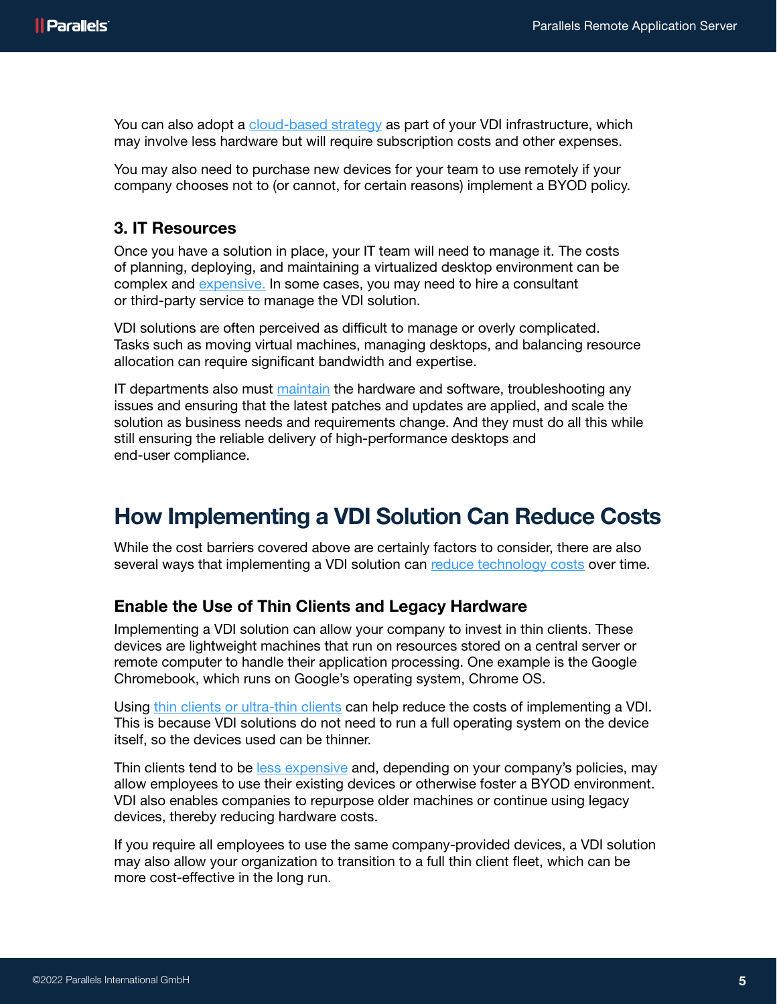You can also adopt a [cloud-based strategy](https://www.parallels.com/blogs/ras/vdi-in-the-cloud/) as part of your VDI infrastructure, which may involve less hardware but will require subscription costs and other expenses.

You may also need to purchase new devices for your team to use remotely if your company chooses not to (or cannot, for certain reasons) implement a BYOD policy.

### 3. IT Resources

Once you have a solution in place, your IT team will need to manage it. The costs of planning, deploying, and maintaining a virtualized desktop environment can be complex and [expensive.](https://searchvirtualdesktop.techtarget.com/feature/How-to-keep-VDI-costs-to-a-minimum) In some cases, you may need to hire a consultant or third-party service to manage the VDI solution.

VDI solutions are often perceived as difficult to manage or overly complicated. Tasks such as moving virtual machines, managing desktops, and balancing resource allocation can require significant bandwidth and expertise.

IT departments also must [maintain](https://insights.samsung.com/2021/07/21/the-it-managers-guide-to-setting-up-virtual-desktop-infrastructure-2/) the hardware and software, troubleshooting any issues and ensuring that the latest patches and updates are applied, and scale the solution as business needs and requirements change. And they must do all this while still ensuring the reliable delivery of high-performance desktops and end-user compliance.

## How Implementing a VDI Solution Can Reduce Costs

While the cost barriers covered above are certainly factors to consider, there are also several ways that implementing a VDI solution can [reduce technology costs](https://www.parallels.com/products/ras/capabilities/vdi-cost/) over time.

### Enable the Use of Thin Clients and Legacy Hardware

Implementing a VDI solution can allow your company to invest in thin clients. These devices are lightweight machines that run on resources stored on a central server or remote computer to handle their application processing. One example is the Google Chromebook, which runs on Google's operating system, Chrome OS.

Using [thin clients or ultra-thin clients](https://www.pcmag.com/encyclopedia/term/thin-client) can help reduce the costs of implementing a VDI. This is because VDI solutions do not need to run a full operating system on the device itself, so the devices used can be thinner.

Thin clients tend to be [less expensive](https://thinktechadvisors.com/2020/05/pros-cons-of-thin-client-devices/) and, depending on your company's policies, may allow employees to use their existing devices or otherwise foster a BYOD environment. VDI also enables companies to repurpose older machines or continue using legacy devices, thereby reducing hardware costs.

If you require all employees to use the same company-provided devices, a VDI solution may also allow your organization to transition to a full thin client fleet, which can be more cost-effective in the long run.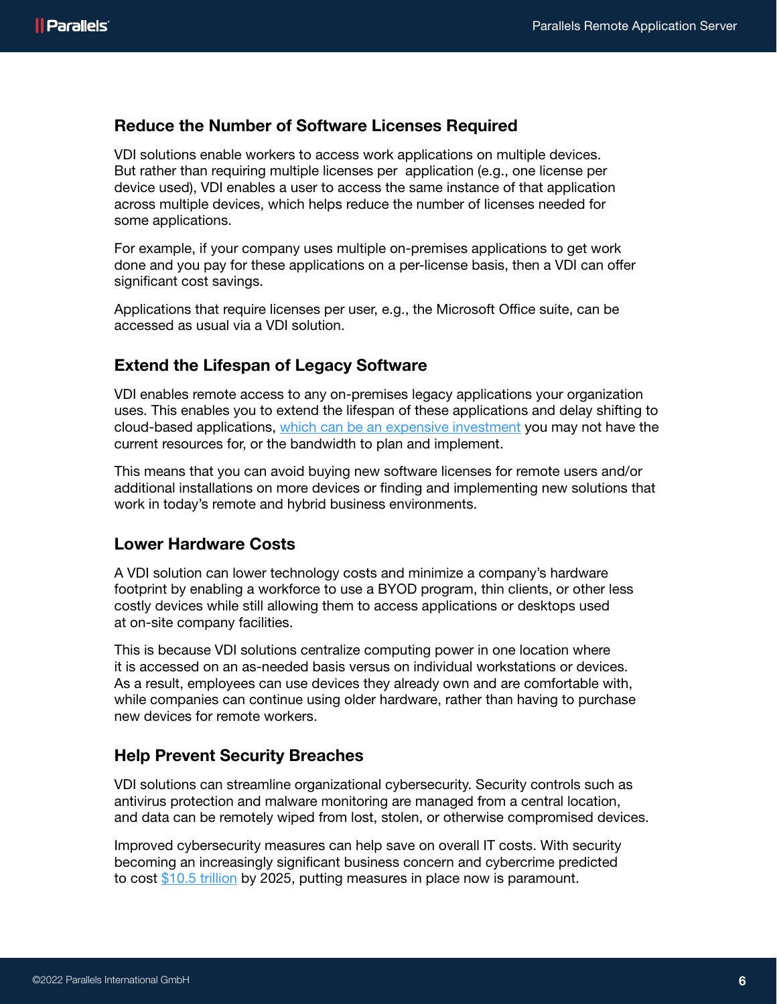### Reduce the Number of Software Licenses Required

VDI solutions enable workers to access work applications on multiple devices. But rather than requiring multiple licenses per application (e.g., one license per device used), VDI enables a user to access the same instance of that application across multiple devices, which helps reduce the number of licenses needed for some applications.

For example, if your company uses multiple on-premises applications to get work done and you pay for these applications on a per-license basis, then a VDI can offer significant cost savings.

Applications that require licenses per user, e.g., the Microsoft Office suite, can be accessed as usual via a VDI solution.

#### Extend the Lifespan of Legacy Software

VDI enables remote access to any on-premises legacy applications your organization uses. This enables you to extend the lifespan of these applications and delay shifting to cloud-based applications, [which can be an expensive investment](https://www.zdnet.com/article/cloud-computing-more-costly-complicated-and-frustrating-than-expected-but-still-essential/) you may not have the current resources for, or the bandwidth to plan and implement.

This means that you can avoid buying new software licenses for remote users and/or additional installations on more devices or finding and implementing new solutions that work in today's remote and hybrid business environments.

### Lower Hardware Costs

A VDI solution can lower technology costs and minimize a company's hardware footprint by enabling a workforce to use a BYOD program, thin clients, or other less costly devices while still allowing them to access applications or desktops used at on-site company facilities.

This is because VDI solutions centralize computing power in one location where it is accessed on an as-needed basis versus on individual workstations or devices. As a result, employees can use devices they already own and are comfortable with, while companies can continue using older hardware, rather than having to purchase new devices for remote workers.

#### Help Prevent Security Breaches

VDI solutions can streamline organizational cybersecurity. Security controls such as antivirus protection and malware monitoring are managed from a central location, and data can be remotely wiped from lost, stolen, or otherwise compromised devices.

Improved cybersecurity measures can help save on overall IT costs. With security becoming an increasingly significant business concern and cybercrime predicted to cost [\\$10.5 trillion](https://cybersecurityventures.com/hackerpocalypse-cybercrime-report-2016/) by 2025, putting measures in place now is paramount.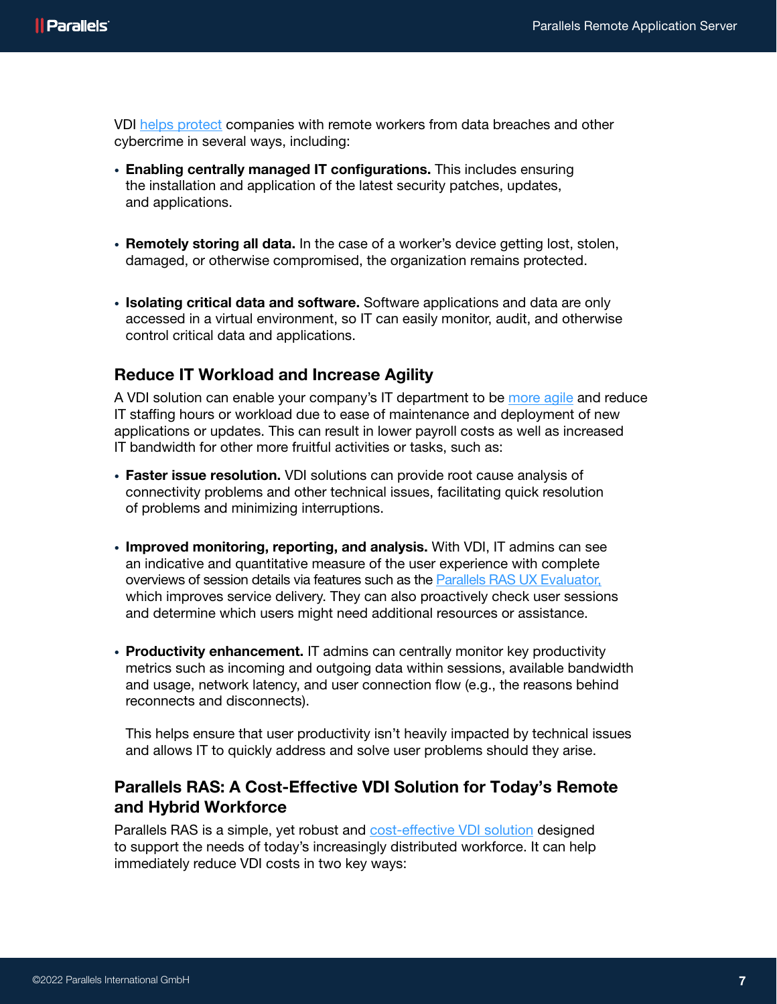VDI [helps protect](https://www.techtarget.com/searchsecurity/tip/Security-benefits-of-virtual-desktop-infrastructures) companies with remote workers from data breaches and other cybercrime in several ways, including:

- Enabling centrally managed IT configurations. This includes ensuring the installation and application of the latest security patches, updates, and applications.
- Remotely storing all data. In the case of a worker's device getting lost, stolen, damaged, or otherwise compromised, the organization remains protected.
- Isolating critical data and software. Software applications and data are only accessed in a virtual environment, so IT can easily monitor, audit, and otherwise control critical data and applications.

### Reduce IT Workload and Increase Agility

A VDI solution can enable your company's IT department to be [more agile](https://www.parallels.com/products/ras/remote-application-server/#technologyAgility) and reduce IT staffing hours or workload due to ease of maintenance and deployment of new applications or updates. This can result in lower payroll costs as well as increased IT bandwidth for other more fruitful activities or tasks, such as:

- Faster issue resolution. VDI solutions can provide root cause analysis of connectivity problems and other technical issues, facilitating quick resolution of problems and minimizing interruptions.
- Improved monitoring, reporting, and analysis. With VDI, IT admins can see an indicative and quantitative measure of the user experience with complete overviews of session details via features such as the [Parallels RAS UX Evaluator,](https://kb.parallels.com/en/125072) which improves service delivery. They can also proactively check user sessions and determine which users might need additional resources or assistance.
- Productivity enhancement. IT admins can centrally monitor key productivity metrics such as incoming and outgoing data within sessions, available bandwidth and usage, network latency, and user connection flow (e.g., the reasons behind reconnects and disconnects).

This helps ensure that user productivity isn't heavily impacted by technical issues and allows IT to quickly address and solve user problems should they arise.

### Parallels RAS: A Cost-Effective VDI Solution for Today's Remote and Hybrid Workforce

Parallels RAS is a simple, yet robust and [cost-effective VDI solution](https://www.parallels.com/products/ras/capabilities/vdi-cost/) designed to support the needs of today's increasingly distributed workforce. It can help immediately reduce VDI costs in two key ways: